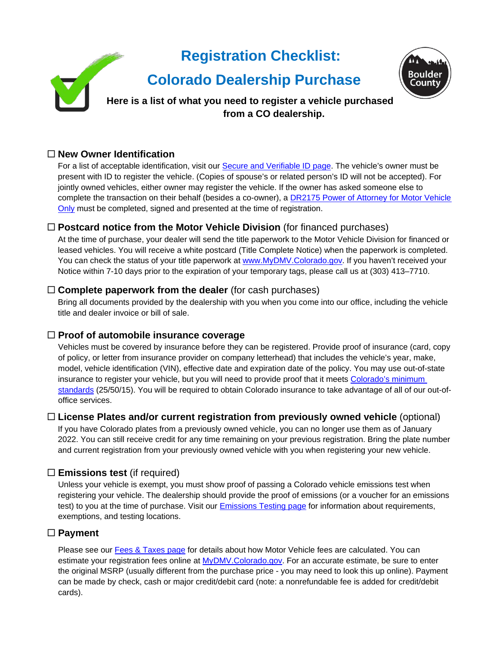# **Registration Checklist:** Rouldei  **Colorado Dealership Purchase Here is a list of what you need to register a vehicle purchased from a CO dealership.**

### **New Owner Identification**

For a list of acceptable identification, visit our **Secure and Verifiable ID page**. The vehicle's owner must be present with ID to register the vehicle. (Copies of spouse's or related person's ID will not be accepted). For jointly owned vehicles, either owner may register the vehicle. If the owner has asked someone else to complete the transaction on their behalf (besides a co-owner), a [DR2175 Power of Attorney for Motor Vehicle](https://www.colorado.gov/pacific/sites/default/files/DR2175.pdf)  [Only](https://www.colorado.gov/pacific/sites/default/files/DR2175.pdf) must be completed, signed and presented at the time of registration.

### **Postcard notice from the Motor Vehicle Division** (for financed purchases)

At the time of purchase, your dealer will send the title paperwork to the Motor Vehicle Division for financed or leased vehicles. You will receive a white postcard (Title Complete Notice) when the paperwork is completed. You can check the status of your title paperwork at [www.MyDMV.Colorado.gov.](http://www.mydmv.colorado.gov/) If you haven't received your Notice within 7-10 days prior to the expiration of your temporary tags, please call us at (303) 413–7710.

#### **Complete paperwork from the dealer** (for cash purchases)

Bring all documents provided by the dealership with you when you come into our office, including the vehicle title and dealer invoice or bill of sale.

#### **Proof of automobile insurance coverage**

Vehicles must be covered by insurance before they can be registered. Provide proof of insurance (card, copy of policy, or letter from insurance provider on company letterhead) that includes the vehicle's year, make, model, vehicle identification (VIN), effective date and expiration date of the policy. You may use out-of-state insurance to register your vehicle, but you will need to provide proof that it meets [Colorado's minimum](https://www.bouldercounty.org/records/motor-vehicle/additional-motor-vehicle-resources/auto-insurance-requirements/)  [standards](https://www.bouldercounty.org/records/motor-vehicle/additional-motor-vehicle-resources/auto-insurance-requirements/) (25/50/15). You will be required to obtain Colorado insurance to take advantage of all of our out-ofoffice services.

#### **License Plates and/or current registration from previously owned vehicle** (optional)

If you have Colorado plates from a previously owned vehicle, you can no longer use them as of January 2022. You can still receive credit for any time remaining on your previous registration. Bring the plate number and current registration from your previously owned vehicle with you when registering your new vehicle.

### **Emissions test** (if required)

Unless your vehicle is exempt, you must show proof of passing a Colorado vehicle emissions test when registering your vehicle. The dealership should provide the proof of emissions (or a voucher for an emissions test) to you at the time of purchase. Visit our **[Emissions Testing page](https://www.bouldercounty.org/records/motor-vehicle/emissions-testing-requirements/) for information about requirements**, exemptions, and testing locations.

#### **Payment**

Please see our [Fees & Taxes page](https://www.bouldercounty.org/records/motor-vehicle/additional-motor-vehicle-resources/fees-and-taxes/) for details about how Motor Vehicle fees are calculated. You can estimate your registration fees online at [MyDMV.Colorado.gov.](https://mydmv.colorado.gov/_/) For an accurate estimate, be sure to enter the original MSRP (usually different from the purchase price - you may need to look this up online). Payment can be made by check, cash or major credit/debit card (note: a nonrefundable fee is added for credit/debit cards).